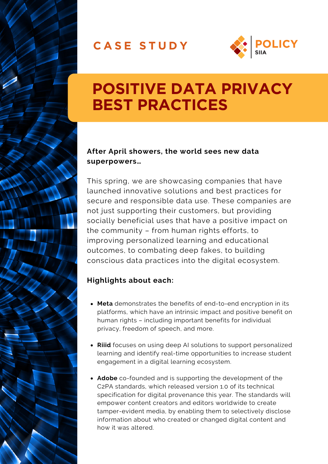### **C A S E S T U D Y**



### **POSITIVE DATA PRIVACY BEST PRACTICES**

#### **After April showers, the world sees new data superpowers…**

This spring, we are showcasing companies that have launched innovative solutions and best practices for secure and responsible data use. These companies are not just supporting their customers, but providing socially beneficial uses that have a positive impact on the community – from human rights efforts, to improving personalized learning and educational outcomes, to combating deep fakes, to building conscious data practices into the digital ecosystem.

### **Highlights about each:**

- **Meta** demonstrates the [benefits](https://www.bsr.org/en/our-insights/report-view/metas-expansion-end-to-end-encryption) of end-to-end encryption in its platforms, which have an intrinsic impact and positive benefit on human rights – including important benefits for individual privacy, freedom of speech, and more.
- **Riiid** focuses on using deep AI [solutions](https://www.riiidlabs.com/whitepaper-scoreprediction?hsLang=en) to support personalized learning and identify real-time opportunities to increase student engagement in a digital learning ecosystem.
- **Adobe** co-founded and is supporting the [development](https://www.adobe.com/content/dam/cc/uk/aboutadobe/newsroom/pdfs/270122-c2pa-release.pdf) of the C2PA standards, which released version 1.0 of its technical specification for digital provenance this year. The standards will empower content creators and editors worldwide to create tamper-evident media, by enabling them to selectively disclose information about who created or changed digital content and how it was altered.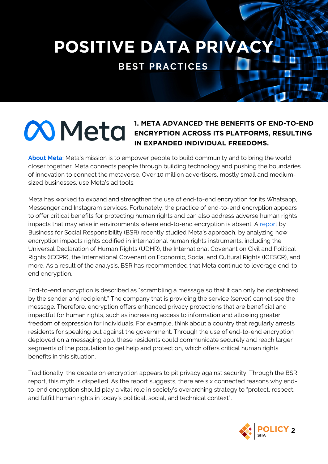**POSITIVE DATA PRIVACY**

**BEST PRACTICES**

# **Meta**

#### **1. META ADVANCED THE BENEFITS OF END-TO-END ENCRYPTION ACROSS ITS PLATFORMS, RESULTING IN EXPANDED INDIVIDUAL FREEDOMS.**

**About Meta:** Meta's mission is to empower people to build community and to bring the world closer together. Meta connects people through building technology and pushing the boundaries of innovation to connect the metaverse. Over 10 million advertisers, mostly small and mediumsized businesses, use Meta's ad tools.

Meta has worked to expand and strengthen the use of end-to-end encryption for its Whatsapp, Messenger and Instagram services. Fortunately, the practice of end-to-end encryption appears to offer critical benefits for protecting human rights and can also address adverse human rights impacts that may arise in environments where end-to-end encryption is absent. [A](https://www.bsr.org/reports/bsr-meta-human-rights-impact-assessment-e2ee-report-summary.pdf) [report](https://www.bsr.org/reports/bsr-meta-human-rights-impact-assessment-e2ee-report-summary.pdf) by Business for Social Responsibility (BSR) recently studied Meta's approach, by analyzing how encryption impacts rights codified in international human rights instruments, including the Universal Declaration of Human Rights (UDHR), the International Covenant on Civil and Political Rights (ICCPR), the International Covenant on Economic, Social and Cultural Rights (ICESCR), and more. As a result of the analysis, BSR has recommended that Meta continue to leverage end-toend encryption.

End-to-end encryption is described as "scrambling a message so that it can only be deciphered by the sender and recipient." The company that is providing the service (server) cannot see the message. Therefore, encryption offers enhanced privacy protections that are beneficial and impactful for human rights, such as increasing access to information and allowing greater freedom of expression for individuals. For example, think about a country that regularly arrests residents for speaking out against the government. Through the use of end-to-end encryption deployed on a messaging app, these residents could communicate securely and reach larger segments of the population to get help and protection, which offers critical human rights benefits in this situation.

Traditionally, the debate on encryption appears to pit privacy against security. Through the BSR report, this myth is dispelled. As the report suggests, there are six connected reasons why endto-end encryption should play a vital role in society's overarching strategy to "protect, respect, and fulfill human rights in today's political, social, and technical context".

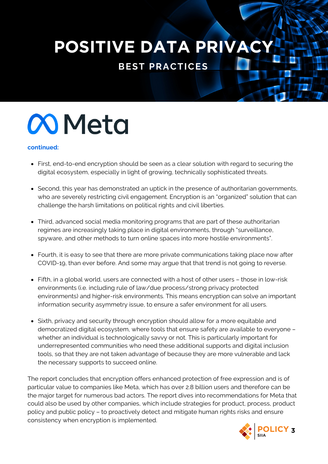## **POSITIVE DATA PRIVAC**

**BEST PRACTICES**



#### **continued:**

- First, end-to-end encryption should be seen as a clear solution with regard to securing the digital ecosystem, especially in light of growing, technically sophisticated threats.
- Second, this year has demonstrated an uptick in the presence of authoritarian governments, who are severely restricting civil engagement. Encryption is an "organized" solution that can challenge the harsh limitations on political rights and civil liberties.
- Third, advanced social media monitoring programs that are part of these authoritarian regimes are increasingly taking place in digital environments, through "surveillance, spyware, and other methods to turn online spaces into more hostile environments".
- Fourth, it is easy to see that there are more private communications taking place now after COVID-19, than ever before. And some may argue that that trend is not going to reverse.
- Fifth, in a global world, users are connected with a host of other users those in low-risk environments (i.e. including rule of law/due process/strong privacy protected environments) and higher-risk environments. This means encryption can solve an important information security asymmetry issue, to ensure a safer environment for all users.
- Sixth, privacy and security through encryption should allow for a more equitable and democratized digital ecosystem, where tools that ensure safety are available to everyone – whether an individual is technologically savvy or not. This is particularly important for underrepresented communities who need these additional supports and digital inclusion tools, so that they are not taken advantage of because they are more vulnerable and lack the necessary supports to succeed online.

The report concludes that encryption offers enhanced protection of free expression and is of particular value to companies like Meta, which has over 2.8 billion users and therefore can be the major target for numerous bad actors. The report dives into recommendations for Meta that could also be used by other companies, which include strategies for product, process, product policy and public policy – to proactively detect and mitigate human rights risks and ensure consistency when encryption is implemented.

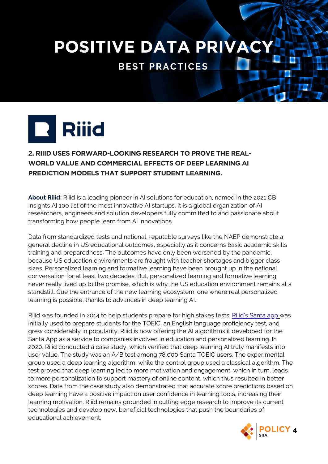### **POSITIVE DATA PRIVAC**

**BEST PRACTICES**



#### **2. RIIID USES FORWARD-LOOKING RESEARCH TO PROVE THE REAL-WORLD VALUE AND COMMERCIAL EFFECTS OF DEEP LEARNING AI PREDICTION MODELS THAT SUPPORT STUDENT LEARNING.**

**About Riiid:** Riiid is a leading pioneer in AI solutions for education, named in the 2021 CB Insights AI 100 list of the most innovative AI startups. It is a global organization of AI researchers, engineers and solution developers fully committed to and passionate about transforming how people learn from AI innovations.

Data from standardized tests and national, reputable surveys like the NAEP demonstrate a general decline in US educational outcomes, especially as it concerns basic academic skills training and preparedness. The outcomes have only been worsened by the pandemic, because US education environments are fraught with teacher shortages and bigger class sizes. Personalized learning and formative learning have been brought up in the national conversation for at least two decades. But, personalized learning and formative learning never really lived up to the promise, which is why the US education environment remains at a standstill. Cue the entrance of the new learning ecosystem: one where real personalized learning is possible, thanks to advances in deep learning AI.

Riiid was founded in 2014 to help students prepare for high stakes tests. [Riiid's](https://www.aitutorsanta.com/) Santa app was initially used to prepare students for the TOEIC, an English language proficiency test, and grew considerably in popularity. Riiid is now offering the AI algorithms it developed for the Santa App as a service to companies involved in education and personalized learning. In 2020, Riiid conducted a case study, which verified that deep learning AI truly manifests into user value. The study was an A/B test among 78,000 Santa TOEIC users. The experimental group used a deep learning algorithm, while the control group used a classical algorithm. The test proved that deep learning led to more motivation and engagement, which in turn, leads to more personalization to support mastery of online content, which thus resulted in better scores. Data from the case study also demonstrated that accurate score predictions based on deep learning have a positive impact on user confidence in learning tools, increasing their learning motivation. Riiid remains grounded in cutting edge research to improve its current technologies and develop new, beneficial technologies that push the boundaries of educational achievement.